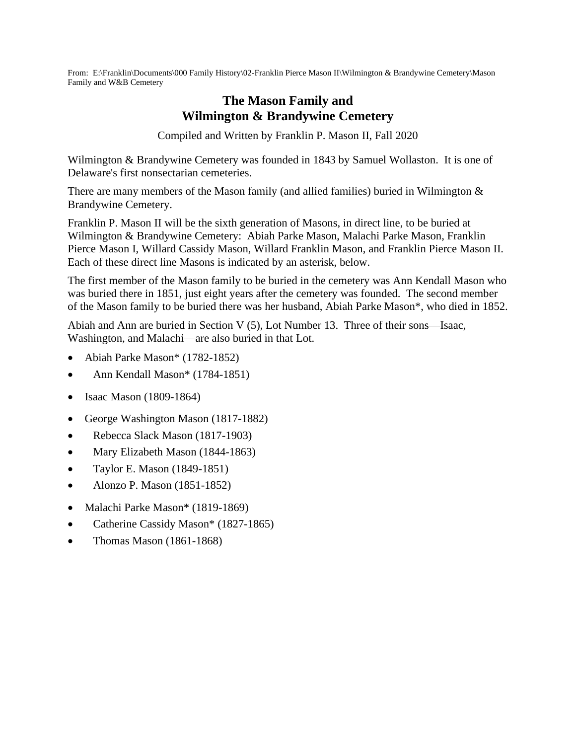From: E:\Franklin\Documents\000 Family History\02-Franklin Pierce Mason II\Wilmington & Brandywine Cemetery\Mason Family and W&B Cemetery

## **The Mason Family and Wilmington & Brandywine Cemetery**

Compiled and Written by Franklin P. Mason II, Fall 2020

Wilmington & Brandywine Cemetery was founded in 1843 by Samuel Wollaston. It is one of Delaware's first nonsectarian cemeteries.

There are many members of the Mason family (and allied families) buried in Wilmington  $\&$ Brandywine Cemetery.

Franklin P. Mason II will be the sixth generation of Masons, in direct line, to be buried at Wilmington & Brandywine Cemetery: Abiah Parke Mason, Malachi Parke Mason, Franklin Pierce Mason I, Willard Cassidy Mason, Willard Franklin Mason, and Franklin Pierce Mason II. Each of these direct line Masons is indicated by an asterisk, below.

The first member of the Mason family to be buried in the cemetery was Ann Kendall Mason who was buried there in 1851, just eight years after the cemetery was founded. The second member of the Mason family to be buried there was her husband, Abiah Parke Mason\*, who died in 1852.

Abiah and Ann are buried in Section V (5), Lot Number 13. Three of their sons—Isaac, Washington, and Malachi—are also buried in that Lot.

- Abiah Parke Mason\* (1782-1852)
- Ann Kendall Mason\* (1784-1851)
- Isaac Mason (1809-1864)
- George Washington Mason (1817-1882)
- Rebecca Slack Mason (1817-1903)
- Mary Elizabeth Mason (1844-1863)
- Taylor E. Mason (1849-1851)
- Alonzo P. Mason (1851-1852)
- Malachi Parke Mason\* (1819-1869)
- Catherine Cassidy Mason\* (1827-1865)
- Thomas Mason (1861-1868)